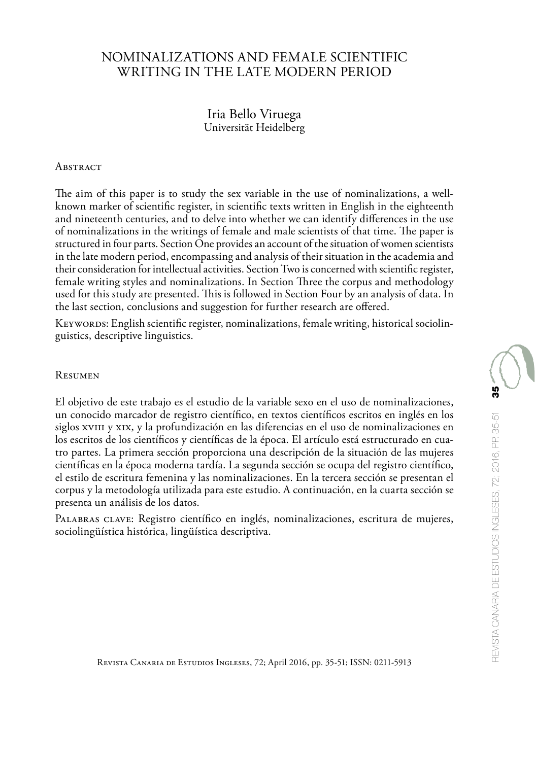# NOMINALIZATIONS AND FEMALE SCIENTIFIC WRITING IN THE LATE MODERN PERIOD

## Iria Bello Viruega Universität Heidelberg

#### **ABSTRACT**

The aim of this paper is to study the sex variable in the use of nominalizations, a wellknown marker of scientific register, in scientific texts written in English in the eighteenth and nineteenth centuries, and to delve into whether we can identify differences in the use of nominalizations in the writings of female and male scientists of that time. The paper is structured in four parts. Section One provides an account of the situation of women scientists in the late modern period, encompassing and analysis of their situation in the academia and their consideration for intellectual activities. Section Two is concerned with scientific register, female writing styles and nominalizations. In Section Three the corpus and methodology used for this study are presented. This is followed in Section Four by an analysis of data. In the last section, conclusions and suggestion for further research are offered.

Keywords: English scientific register, nominalizations, female writing, historical sociolinguistics, descriptive linguistics.

#### Resumen

El objetivo de este trabajo es el estudio de la variable sexo en el uso de nominalizaciones, un conocido marcador de registro científico, en textos científicos escritos en inglés en los siglos xviii y xix, y la profundización en las diferencias en el uso de nominalizaciones en los escritos de los científicos y científicas de la época. El artículo está estructurado en cuatro partes. La primera sección proporciona una descripción de la situación de las mujeres científicas en la época moderna tardía. La segunda sección se ocupa del registro científico, el estilo de escritura femenina y las nominalizaciones. En la tercera sección se presentan el corpus y la metodología utilizada para este estudio. A continuación, en la cuarta sección se presenta un análisis de los datos.

Palabras clave: Registro científico en inglés, nominalizaciones, escritura de mujeres, sociolingüística histórica, lingüística descriptiva.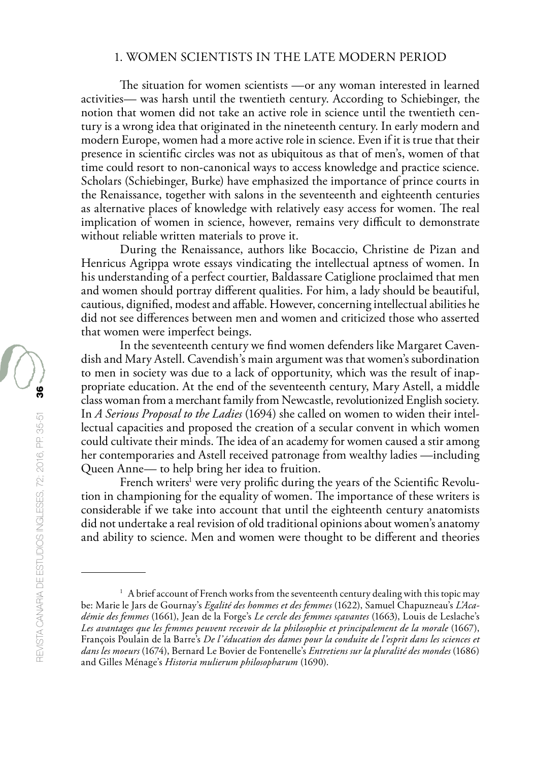## 1. WOMEN SCIENTISTS IN THE LATE MODERN PERIOD

The situation for women scientists —or any woman interested in learned activities— was harsh until the twentieth century. According to Schiebinger, the notion that women did not take an active role in science until the twentieth century is a wrong idea that originated in the nineteenth century. In early modern and modern Europe, women had a more active role in science. Even if it is true that their presence in scientific circles was not as ubiquitous as that of men's, women of that time could resort to non-canonical ways to access knowledge and practice science. Scholars (Schiebinger, Burke) have emphasized the importance of prince courts in the Renaissance, together with salons in the seventeenth and eighteenth centuries as alternative places of knowledge with relatively easy access for women. The real implication of women in science, however, remains very difficult to demonstrate without reliable written materials to prove it.

During the Renaissance, authors like Bocaccio, Christine de Pizan and Henricus Agrippa wrote essays vindicating the intellectual aptness of women. In his understanding of a perfect courtier, Baldassare Catiglione proclaimed that men and women should portray different qualities. For him, a lady should be beautiful, cautious, dignified, modest and affable. However, concerning intellectual abilities he did not see differences between men and women and criticized those who asserted that women were imperfect beings.

In the seventeenth century we find women defenders like Margaret Cavendish and Mary Astell. Cavendish's main argument was that women's subordination to men in society was due to a lack of opportunity, which was the result of inappropriate education. At the end of the seventeenth century, Mary Astell, a middle class woman from a merchant family from Newcastle, revolutionized English society. In *A Serious Proposal to the Ladies* (1694) she called on women to widen their intellectual capacities and proposed the creation of a secular convent in which women could cultivate their minds. The idea of an academy for women caused a stir among her contemporaries and Astell received patronage from wealthy ladies —including Queen Anne— to help bring her idea to fruition.

French writers<sup>1</sup> were very prolific during the years of the Scientific Revolution in championing for the equality of women. The importance of these writers is considerable if we take into account that until the eighteenth century anatomists did not undertake a real revision of old traditional opinions about women's anatomy and ability to science. Men and women were thought to be different and theories

<sup>&</sup>lt;sup>1</sup> A brief account of French works from the seventeenth century dealing with this topic may be: Marie le Jars de Gournay's *Egalité des hommes et des femmes* (1622), Samuel Chapuzneau's *L'Académie des femmes* (1661), Jean de la Forge's *Le cercle des femmes sçavantes* (1663), Louis de Leslache's *Les avantages que les femmes peuvent recevoir de la philosophie et principalement de la morale* (1667), François Poulain de la Barre's *De l'éducation des dames pour la conduite de l'esprit dans les sciences et dans les moeurs* (1674), Bernard Le Bovier de Fontenelle's *Entretiens sur la pluralité des mondes* (1686) and Gilles Ménage's *Historia mulierum philosopharum* (1690).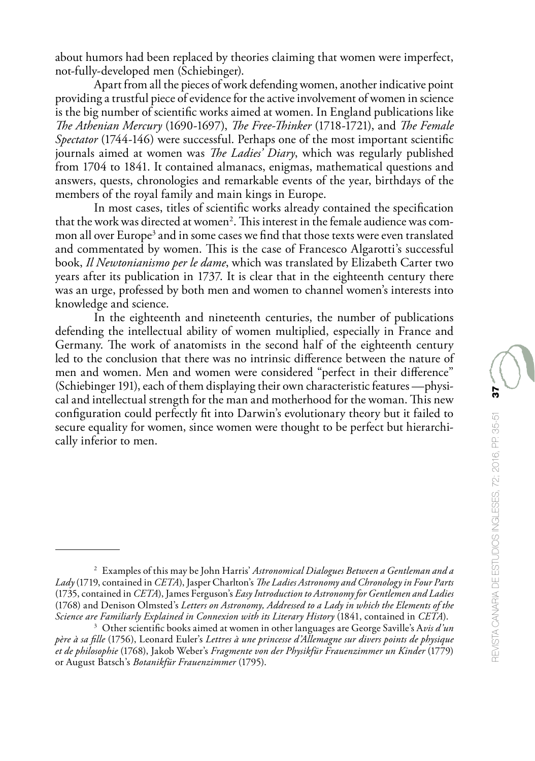about humors had been replaced by theories claiming that women were imperfect, not-fully-developed men (Schiebinger).

Apart from all the pieces of work defending women, another indicative point providing a trustful piece of evidence for the active involvement of women in science is the big number of scientific works aimed at women. In England publications like *The Athenian Mercury* (1690-1697), *The Free-Thinker* (1718-1721), and *The Female Spectator* (1744-146) were successful. Perhaps one of the most important scientific journals aimed at women was *The Ladies' Diary*, which was regularly published from 1704 to 1841. It contained almanacs, enigmas, mathematical questions and answers, quests, chronologies and remarkable events of the year, birthdays of the members of the royal family and main kings in Europe.

In most cases, titles of scientific works already contained the specification that the work was directed at women<sup>2</sup>. This interest in the female audience was common all over Europe<sup>3</sup> and in some cases we find that those texts were even translated and commentated by women. This is the case of Francesco Algarotti's successful book, *Il Newtonianismo per le dame*, which was translated by Elizabeth Carter two years after its publication in 1737. It is clear that in the eighteenth century there was an urge, professed by both men and women to channel women's interests into knowledge and science.

In the eighteenth and nineteenth centuries, the number of publications defending the intellectual ability of women multiplied, especially in France and Germany. The work of anatomists in the second half of the eighteenth century led to the conclusion that there was no intrinsic difference between the nature of men and women. Men and women were considered "perfect in their difference" (Schiebinger 191), each of them displaying their own characteristic features —physical and intellectual strength for the man and motherhood for the woman. This new configuration could perfectly fit into Darwin's evolutionary theory but it failed to secure equality for women, since women were thought to be perfect but hierarchically inferior to men.

<sup>2</sup> Examples of this may be John Harris' *Astronomical Dialogues Between a Gentleman and a Lady* (1719, contained in *CETA*), Jasper Charlton's *The Ladies Astronomy and Chronology in Four Parts* (1735, contained in *CETA*), James Ferguson's *Easy Introduction to Astronomy for Gentlemen and Ladies* (1768) and Denison Olmsted's *Letters on Astronomy, Addressed to a Lady in which the Elements of the Science are Familiarly Explained in Connexion with its Literary History* (1841, contained in *CETA*).

<sup>3</sup> Other scientific books aimed at women in other languages are George Saville's A*vis d'un père à sa fille* (1756), Leonard Euler's *Lettres à une princesse d'Allemagne sur divers points de physique et de philosophie* (1768), Jakob Weber's *Fragmente von der Physikfür Frauenzimmer un Kinder* (1779) or August Batsch's *Botanikfür Frauenzimmer* (1795).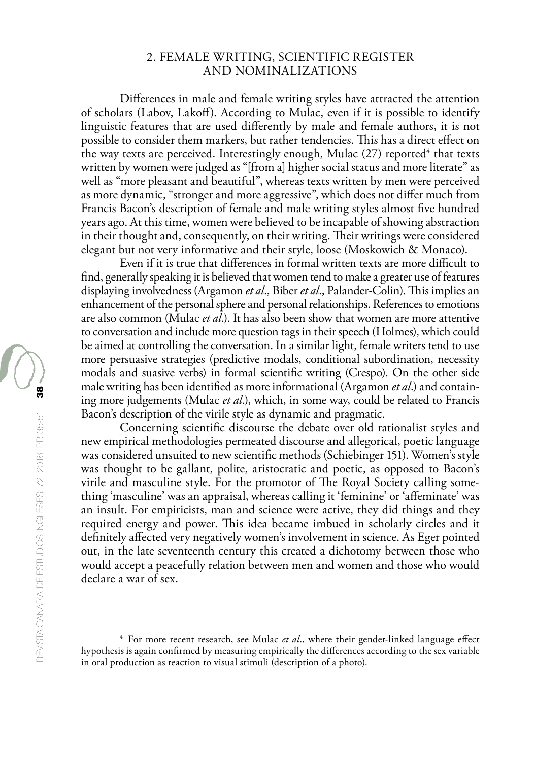## 2. FEMALE WRITING, SCIENTIFIC REGISTER AND NOMINALIZATIONS

Differences in male and female writing styles have attracted the attention of scholars (Labov, Lakoff). According to Mulac, even if it is possible to identify linguistic features that are used differently by male and female authors, it is not possible to consider them markers, but rather tendencies. This has a direct effect on the way texts are perceived. Interestingly enough, Mulac (27) reported<sup>4</sup> that texts written by women were judged as "[from a] higher social status and more literate" as well as "more pleasant and beautiful", whereas texts written by men were perceived as more dynamic, "stronger and more aggressive", which does not differ much from Francis Bacon's description of female and male writing styles almost five hundred years ago. At this time, women were believed to be incapable of showing abstraction in their thought and, consequently, on their writing. Their writings were considered elegant but not very informative and their style, loose (Moskowich & Monaco).

Even if it is true that differences in formal written texts are more difficult to find, generally speaking it is believed that women tend to make a greater use of features displaying involvedness (Argamon *et al*., Biber *et al*., Palander-Colin). This implies an enhancement of the personal sphere and personal relationships. References to emotions are also common (Mulac *et al*.). It has also been show that women are more attentive to conversation and include more question tags in their speech (Holmes), which could be aimed at controlling the conversation. In a similar light, female writers tend to use more persuasive strategies (predictive modals, conditional subordination, necessity modals and suasive verbs) in formal scientific writing (Crespo). On the other side male writing has been identified as more informational (Argamon *et al*.) and containing more judgements (Mulac *et al*.), which, in some way, could be related to Francis Bacon's description of the virile style as dynamic and pragmatic.

Concerning scientific discourse the debate over old rationalist styles and new empirical methodologies permeated discourse and allegorical, poetic language was considered unsuited to new scientific methods (Schiebinger 151). Women's style was thought to be gallant, polite, aristocratic and poetic, as opposed to Bacon's virile and masculine style. For the promotor of The Royal Society calling something 'masculine' was an appraisal, whereas calling it 'feminine' or 'affeminate' was an insult. For empiricists, man and science were active, they did things and they required energy and power. This idea became imbued in scholarly circles and it definitely affected very negatively women's involvement in science. As Eger pointed out, in the late seventeenth century this created a dichotomy between those who would accept a peacefully relation between men and women and those who would declare a war of sex.

<sup>4</sup> For more recent research, see Mulac *et al*., where their gender-linked language effect hypothesis is again confirmed by measuring empirically the differences according to the sex variable in oral production as reaction to visual stimuli (description of a photo).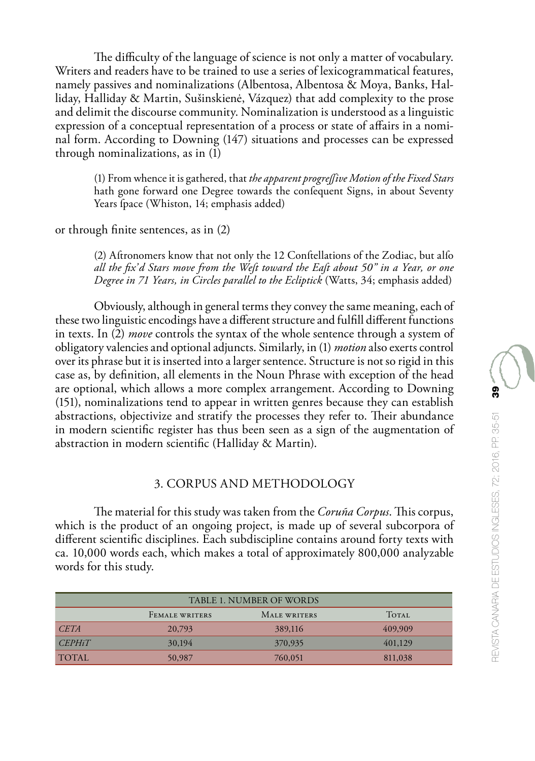The difficulty of the language of science is not only a matter of vocabulary. Writers and readers have to be trained to use a series of lexicogrammatical features, namely passives and nominalizations (Albentosa, Albentosa & Moya, Banks, Halliday, Halliday & Martin, Sušinskienė, Vázquez) that add complexity to the prose and delimit the discourse community. Nominalization is understood as a linguistic expression of a conceptual representation of a process or state of affairs in a nominal form. According to Downing (147) situations and processes can be expressed through nominalizations, as in (1)

(1) From whence it is gathered, that *the apparent progreſſive Motion of the Fixed Stars* hath gone forward one Degree towards the confequent Signs, in about Seventy Years fpace (Whiston, 14; emphasis added)

or through finite sentences, as in (2)

(2) Aftronomers know that not only the 12 Conftellations of the Zodiac, but alfo *all the fix'd Stars move from the Weſt toward the Eaſt about 50" in a Year, or one Degree in 71 Years, in Circles parallel to the Ecliptick* (Watts, 34; emphasis added)

Obviously, although in general terms they convey the same meaning, each of these two linguistic encodings have a different structure and fulfill different functions in texts. In (2) *move* controls the syntax of the whole sentence through a system of obligatory valencies and optional adjuncts. Similarly, in (1) *motion* also exerts control over its phrase but it is inserted into a larger sentence. Structure is not so rigid in this case as, by definition, all elements in the Noun Phrase with exception of the head are optional, which allows a more complex arrangement. According to Downing (151), nominalizations tend to appear in written genres because they can establish abstractions, objectivize and stratify the processes they refer to. Their abundance in modern scientific register has thus been seen as a sign of the augmentation of abstraction in modern scientific (Halliday & Martin).

## 3. CORPUS AND METHODOLOGY

The material for this study was taken from the *Coruña Corpus*. This corpus, which is the product of an ongoing project, is made up of several subcorpora of different scientific disciplines. Each subdiscipline contains around forty texts with ca. 10,000 words each, which makes a total of approximately 800,000 analyzable words for this study.

| TABLE 1. NUMBER OF WORDS |                       |              |              |  |  |  |
|--------------------------|-----------------------|--------------|--------------|--|--|--|
|                          | <b>FEMALE WRITERS</b> | MALE WRITERS | <b>TOTAL</b> |  |  |  |
| <b>CETA</b>              | 20,793                | 389,116      | 409,909      |  |  |  |
| <i>CEPHiT</i>            | 30,194                | 370,935      | 401,129      |  |  |  |
| <b>TOTAL</b>             | 50,987                | 760,051      | 811,038      |  |  |  |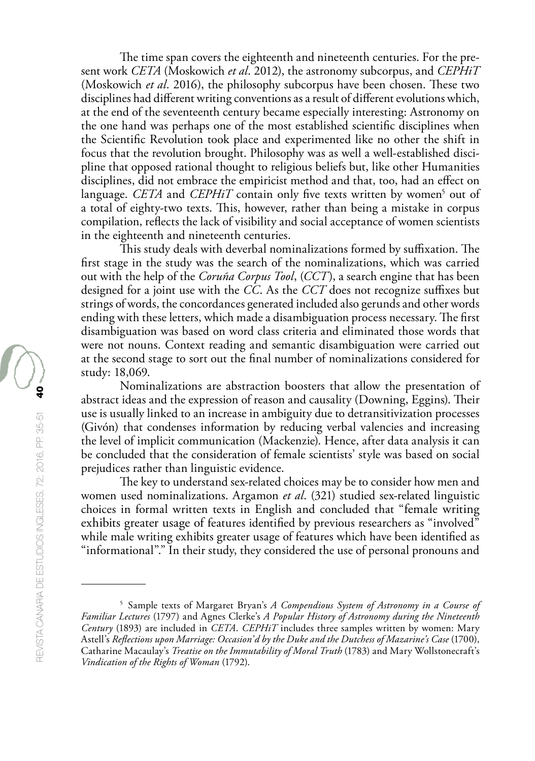The time span covers the eighteenth and nineteenth centuries. For the present work *CETA* (Moskowich *et al*. 2012), the astronomy subcorpus, and *CEPHiT* (Moskowich *et al*. 2016), the philosophy subcorpus have been chosen. These two disciplines had different writing conventions as a result of different evolutions which, at the end of the seventeenth century became especially interesting: Astronomy on the one hand was perhaps one of the most established scientific disciplines when the Scientific Revolution took place and experimented like no other the shift in focus that the revolution brought. Philosophy was as well a well-established discipline that opposed rational thought to religious beliefs but, like other Humanities disciplines, did not embrace the empiricist method and that, too, had an effect on language. *CETA* and *CEPHiT* contain only five texts written by women<sup>5</sup> out of a total of eighty-two texts. This, however, rather than being a mistake in corpus compilation, reflects the lack of visibility and social acceptance of women scientists in the eighteenth and nineteenth centuries.

This study deals with deverbal nominalizations formed by suffixation. The first stage in the study was the search of the nominalizations, which was carried out with the help of the *Coruña Corpus Tool*, (*CCT*), a search engine that has been designed for a joint use with the *CC*. As the *CCT* does not recognize suffixes but strings of words, the concordances generated included also gerunds and other words ending with these letters, which made a disambiguation process necessary. The first disambiguation was based on word class criteria and eliminated those words that were not nouns. Context reading and semantic disambiguation were carried out at the second stage to sort out the final number of nominalizations considered for study: 18,069.

Nominalizations are abstraction boosters that allow the presentation of abstract ideas and the expression of reason and causality (Downing, Eggins). Their use is usually linked to an increase in ambiguity due to detransitivization processes (Givón) that condenses information by reducing verbal valencies and increasing the level of implicit communication (Mackenzie). Hence, after data analysis it can be concluded that the consideration of female scientists' style was based on social prejudices rather than linguistic evidence.

The key to understand sex-related choices may be to consider how men and women used nominalizations. Argamon *et al*. (321) studied sex-related linguistic choices in formal written texts in English and concluded that "female writing exhibits greater usage of features identified by previous researchers as "involved" while male writing exhibits greater usage of features which have been identified as "informational"." In their study, they considered the use of personal pronouns and

<sup>5</sup> Sample texts of Margaret Bryan's *A Compendious System of Astronomy in a Course of Familiar Lectures* (1797) and Agnes Clerke's *A Popular History of Astronomy during the Nineteenth Century* (1893) are included in *CETA*. *CEPHiT* includes three samples written by women: Mary Astell's *Reflections upon Marriage: Occasion'd by the Duke and the Dutchess of Mazarine's Case* (1700), Catharine Macaulay's *Treatise on the Immutability of Moral Truth* (1783) and Mary Wollstonecraft's *Vindication of the Rights of Woman* (1792).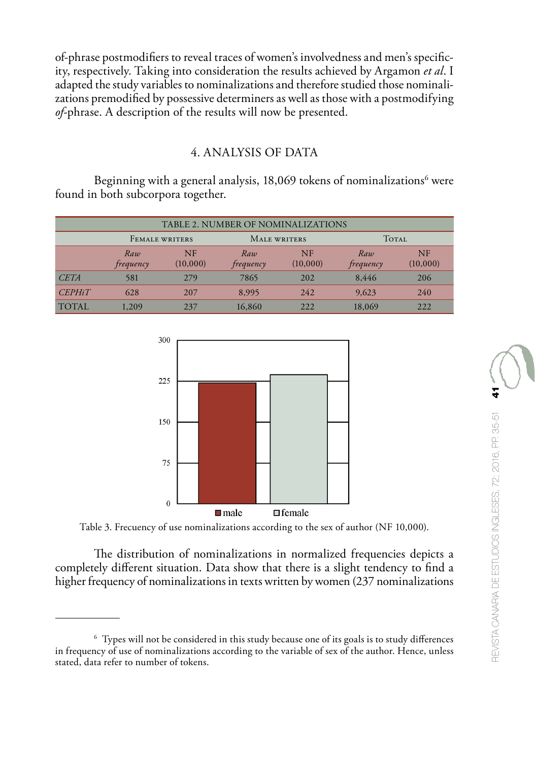of-phrase postmodifiers to reveal traces of women's involvedness and men's specificity, respectively. Taking into consideration the results achieved by Argamon *et al*. I adapted the study variables to nominalizations and therefore studied those nominalizations premodified by possessive determiners as well as those with a postmodifying *of*-phrase. A description of the results will now be presented.

## 4. ANALYSIS OF DATA

Beginning with a general analysis, 18,069 tokens of nominalizations $^{\rm 6}$  were found in both subcorpora together.

|               | TABLE 2. NUMBER OF NOMINALIZATIONS |                       |                  |                       |                  |                       |  |  |
|---------------|------------------------------------|-----------------------|------------------|-----------------------|------------------|-----------------------|--|--|
|               | <b>FEMALE WRITERS</b>              |                       | MALE WRITERS     |                       | <b>TOTAL</b>     |                       |  |  |
|               | Raw<br>frequency                   | <b>NF</b><br>(10,000) | Raw<br>frequency | <b>NF</b><br>(10,000) | Raw<br>frequency | <b>NF</b><br>(10,000) |  |  |
| <b>CETA</b>   | 581                                | 279                   | 7865             | 202                   | 8.446            | 206                   |  |  |
| <b>CEPHiT</b> | 628                                | 207                   | 8.995            | 242                   | 9,623            | 240                   |  |  |
| <b>TOTAL</b>  | 1,209                              | 237                   | 16,860           | 222.                  | 18,069           | 222                   |  |  |



Table 3. Frecuency of use nominalizations according to the sex of author (NF 10,000).

The distribution of nominalizations in normalized frequencies depicts a completely different situation. Data show that there is a slight tendency to find a higher frequency of nominalizations in texts written by women (237 nominalizations

<sup>6</sup> Types will not be considered in this study because one of its goals is to study differences in frequency of use of nominalizations according to the variable of sex of the author. Hence, unless stated, data refer to number of tokens.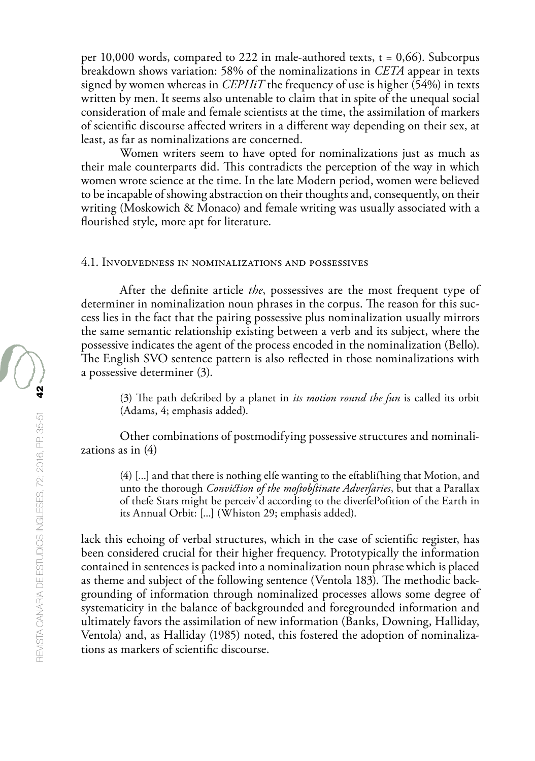per 10,000 words, compared to 222 in male-authored texts,  $t = 0.66$ ). Subcorpus breakdown shows variation: 58% of the nominalizations in *CETA* appear in texts signed by women whereas in *CEPHiT* the frequency of use is higher (54%) in texts written by men. It seems also untenable to claim that in spite of the unequal social consideration of male and female scientists at the time, the assimilation of markers of scientific discourse affected writers in a different way depending on their sex, at least, as far as nominalizations are concerned.

Women writers seem to have opted for nominalizations just as much as their male counterparts did. This contradicts the perception of the way in which women wrote science at the time. In the late Modern period, women were believed to be incapable of showing abstraction on their thoughts and, consequently, on their writing (Moskowich & Monaco) and female writing was usually associated with a flourished style, more apt for literature.

#### 4.1. Involvedness in nominalizations and possessives

After the definite article *the*, possessives are the most frequent type of determiner in nominalization noun phrases in the corpus. The reason for this success lies in the fact that the pairing possessive plus nominalization usually mirrors the same semantic relationship existing between a verb and its subject, where the possessive indicates the agent of the process encoded in the nominalization (Bello). The English SVO sentence pattern is also reflected in those nominalizations with a possessive determiner (3).

(3) The path defcribed by a planet in *its motion round the fun* is called its orbit (Adams, 4; emphasis added).

Other combinations of postmodifying possessive structures and nominalizations as in (4)

(4) [...] and that there is nothing elſe wanting to the eſtabliſhing that Motion, and unto the thorough *Conviction of the moſtobſtinate Adverſaries*, but that a Parallax of thefe Stars might be perceiv'd according to the diverfePofition of the Earth in its Annual Orbit: [...] (Whiston 29; emphasis added).

lack this echoing of verbal structures, which in the case of scientific register, has been considered crucial for their higher frequency. Prototypically the information contained in sentences is packed into a nominalization noun phrase which is placed as theme and subject of the following sentence (Ventola 183). The methodic backgrounding of information through nominalized processes allows some degree of systematicity in the balance of backgrounded and foregrounded information and ultimately favors the assimilation of new information (Banks, Downing, Halliday, Ventola) and, as Halliday (1985) noted, this fostered the adoption of nominalizations as markers of scientific discourse.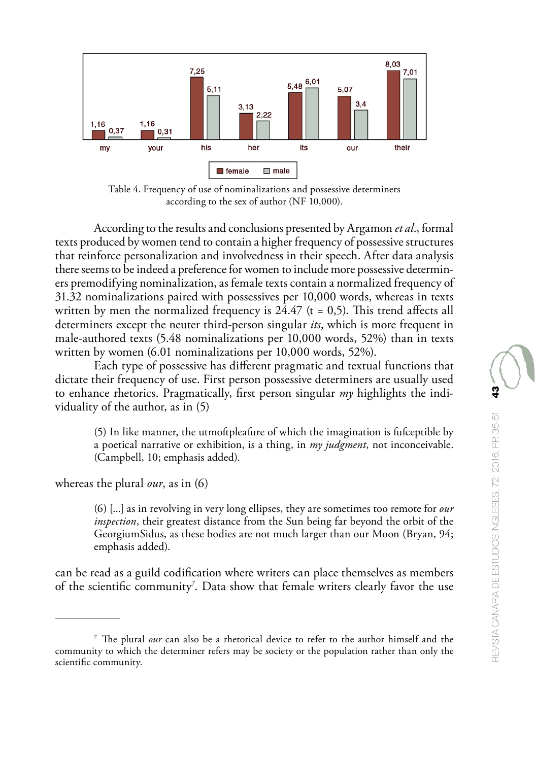

Table 4. Frequency of use of nominalizations and possessive determiners according to the sex of author (NF 10,000).

According to the results and conclusions presented by Argamon *et al*., formal texts produced by women tend to contain a higher frequency of possessive structures that reinforce personalization and involvedness in their speech. After data analysis there seems to be indeed a preference for women to include more possessive determiners premodifying nominalization, as female texts contain a normalized frequency of 31.32 nominalizations paired with possessives per 10,000 words, whereas in texts written by men the normalized frequency is  $24.47$  (t = 0.5). This trend affects all determiners except the neuter third-person singular *its*, which is more frequent in male-authored texts (5.48 nominalizations per 10,000 words, 52%) than in texts written by women (6.01 nominalizations per 10,000 words, 52%).

Each type of possessive has different pragmatic and textual functions that dictate their frequency of use. First person possessive determiners are usually used to enhance rhetorics. Pragmatically, first person singular *my* highlights the individuality of the author, as in (5)

(5) In like manner, the utmoftpleafure of which the imagination is fufceptible by a poetical narrative or exhibition, is a thing, in *my judgment*, not inconceivable. (Campbell, 10; emphasis added).

whereas the plural *our*, as in (6)

(6) [...] as in revolving in very long ellipses, they are sometimes too remote for *our inspection*, their greatest distance from the Sun being far beyond the orbit of the GeorgiumSidus, as these bodies are not much larger than our Moon (Bryan, 94; emphasis added).

can be read as a guild codification where writers can place themselves as members of the scientific community<sup>7</sup>. Data show that female writers clearly favor the use

<sup>7</sup> The plural *our* can also be a rhetorical device to refer to the author himself and the community to which the determiner refers may be society or the population rather than only the scientific community.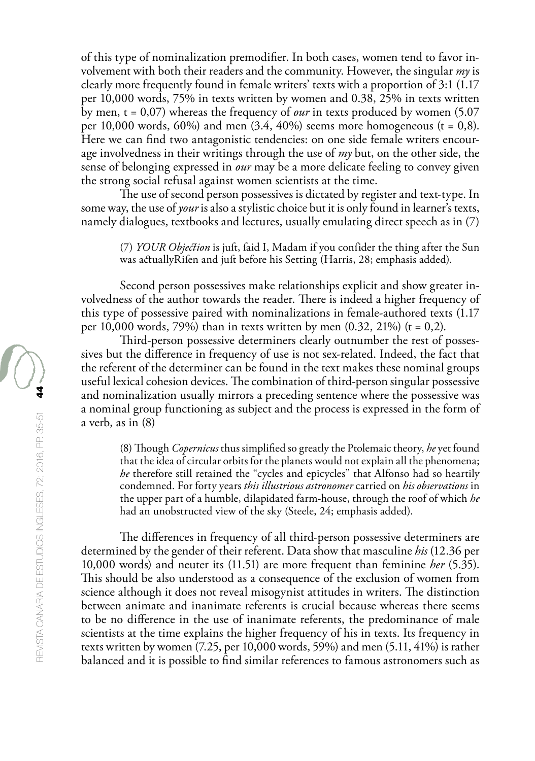of this type of nominalization premodifier. In both cases, women tend to favor involvement with both their readers and the community. However, the singular *my* is clearly more frequently found in female writers' texts with a proportion of 3:1 (1.17 per 10,000 words, 75% in texts written by women and 0.38, 25% in texts written by men,  $t = 0.07$ ) whereas the frequency of *our* in texts produced by women (5.07) per 10,000 words,  $60\%$ ) and men  $(3.4, 40\%)$  seems more homogeneous (t = 0,8). Here we can find two antagonistic tendencies: on one side female writers encourage involvedness in their writings through the use of *my* but, on the other side, the sense of belonging expressed in *our* may be a more delicate feeling to convey given the strong social refusal against women scientists at the time.

The use of second person possessives is dictated by register and text-type. In some way, the use of *your* is also a stylistic choice but it is only found in learner's texts, namely dialogues, textbooks and lectures, usually emulating direct speech as in (7)

(7) *YOUR Objection* is juft, faid I, Madam if you confider the thing after the Sun was actuallyRifen and juft before his Setting (Harris, 28; emphasis added).

Second person possessives make relationships explicit and show greater involvedness of the author towards the reader. There is indeed a higher frequency of this type of possessive paired with nominalizations in female-authored texts (1.17 per 10,000 words, 79%) than in texts written by men  $(0.32, 21%)$  (t = 0,2).

Third-person possessive determiners clearly outnumber the rest of possessives but the difference in frequency of use is not sex-related. Indeed, the fact that the referent of the determiner can be found in the text makes these nominal groups useful lexical cohesion devices. The combination of third-person singular possessive and nominalization usually mirrors a preceding sentence where the possessive was a nominal group functioning as subject and the process is expressed in the form of a verb, as in (8)

(8) Though *Copernicus* thus simplified so greatly the Ptolemaic theory, *he* yet found that the idea of circular orbits for the planets would not explain all the phenomena; *he* therefore still retained the "cycles and epicycles" that Alfonso had so heartily condemned. For forty years *this illustrious astronomer* carried on *his observations* in the upper part of a humble, dilapidated farm-house, through the roof of which *he* had an unobstructed view of the sky (Steele, 24; emphasis added).

The differences in frequency of all third-person possessive determiners are determined by the gender of their referent. Data show that masculine *his* (12.36 per 10,000 words) and neuter its (11.51) are more frequent than feminine *her* (5.35). This should be also understood as a consequence of the exclusion of women from science although it does not reveal misogynist attitudes in writers. The distinction between animate and inanimate referents is crucial because whereas there seems to be no difference in the use of inanimate referents, the predominance of male scientists at the time explains the higher frequency of his in texts. Its frequency in texts written by women (7.25, per 10,000 words, 59%) and men (5.11, 41%) is rather balanced and it is possible to find similar references to famous astronomers such as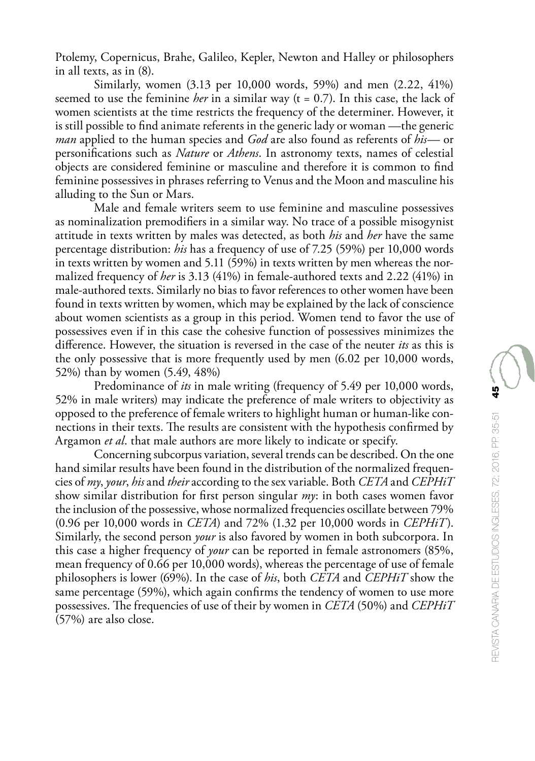Ptolemy, Copernicus, Brahe, Galileo, Kepler, Newton and Halley or philosophers in all texts, as in (8).

Similarly, women (3.13 per 10,000 words, 59%) and men (2.22, 41%) seemed to use the feminine *her* in a similar way (t = 0.7). In this case, the lack of women scientists at the time restricts the frequency of the determiner. However, it is still possible to find animate referents in the generic lady or woman —the generic *man* applied to the human species and *God* are also found as referents of *his*— or personifications such as *Nature* or *Athens*. In astronomy texts, names of celestial objects are considered feminine or masculine and therefore it is common to find feminine possessives in phrases referring to Venus and the Moon and masculine his alluding to the Sun or Mars.

Male and female writers seem to use feminine and masculine possessives as nominalization premodifiers in a similar way. No trace of a possible misogynist attitude in texts written by males was detected, as both *his* and *her* have the same percentage distribution: *his* has a frequency of use of 7.25 (59%) per 10,000 words in texts written by women and 5.11 (59%) in texts written by men whereas the normalized frequency of *her* is 3.13 (41%) in female-authored texts and 2.22 (41%) in male-authored texts. Similarly no bias to favor references to other women have been found in texts written by women, which may be explained by the lack of conscience about women scientists as a group in this period. Women tend to favor the use of possessives even if in this case the cohesive function of possessives minimizes the difference. However, the situation is reversed in the case of the neuter *its* as this is the only possessive that is more frequently used by men (6.02 per 10,000 words, 52%) than by women (5.49, 48%)

Predominance of *its* in male writing (frequency of 5.49 per 10,000 words, 52% in male writers) may indicate the preference of male writers to objectivity as opposed to the preference of female writers to highlight human or human-like connections in their texts. The results are consistent with the hypothesis confirmed by Argamon *et al*. that male authors are more likely to indicate or specify.

Concerning subcorpus variation, several trends can be described. On the one hand similar results have been found in the distribution of the normalized frequencies of *my*, *your*, *his* and *their* according to the sex variable. Both *CETA* and *CEPHiT* show similar distribution for first person singular *my*: in both cases women favor the inclusion of the possessive, whose normalized frequencies oscillate between 79% (0.96 per 10,000 words in *CETA*) and 72% (1.32 per 10,000 words in *CEPHiT*). Similarly, the second person *your* is also favored by women in both subcorpora. In this case a higher frequency of *your* can be reported in female astronomers (85%, mean frequency of 0.66 per 10,000 words), whereas the percentage of use of female philosophers is lower (69%). In the case of *his*, both *CETA* and *CEPHiT* show the same percentage (59%), which again confirms the tendency of women to use more possessives. The frequencies of use of their by women in *CETA* (50%) and *CEPHiT* (57%) are also close.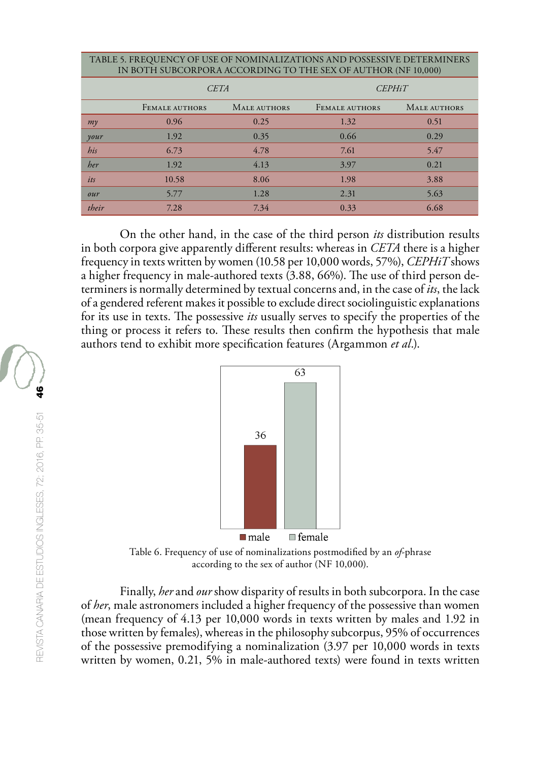| TABLE 5. FREQUENCY OF USE OF NOMINALIZATIONS AND POSSESSIVE DETERMINERS<br>IN BOTH SUBCORPORA ACCORDING TO THE SEX OF AUTHOR (NF 10,000) |                       |              |                       |              |  |  |  |  |
|------------------------------------------------------------------------------------------------------------------------------------------|-----------------------|--------------|-----------------------|--------------|--|--|--|--|
|                                                                                                                                          | <b>CETA</b>           |              | <b>CEPHiT</b>         |              |  |  |  |  |
|                                                                                                                                          | <b>FEMALE AUTHORS</b> | MALE AUTHORS | <b>FEMALE AUTHORS</b> | MALE AUTHORS |  |  |  |  |
| $m\gamma$                                                                                                                                | 0.96                  | 0.25         | 1.32                  | 0.51         |  |  |  |  |
| your                                                                                                                                     | 1.92                  | 0.35         | 0.66                  | 0.29         |  |  |  |  |
| his                                                                                                                                      | 6.73                  | 4.78         | 7.61                  | 5.47         |  |  |  |  |
| her                                                                                                                                      | 1.92                  | 4.13         | 3.97                  | 0.21         |  |  |  |  |
| its                                                                                                                                      | 10.58                 | 8.06         | 1.98                  | 3.88         |  |  |  |  |
| our                                                                                                                                      | 5.77                  | 1.28         | 2.31                  | 5.63         |  |  |  |  |
| their                                                                                                                                    | 7.28                  | 7.34         | 0.33                  | 6.68         |  |  |  |  |

On the other hand, in the case of the third person *its* distribution results in both corpora give apparently different results: whereas in *CETA* there is a higher frequency in texts written by women (10.58 per 10,000 words, 57%), *CEPHiT* shows a higher frequency in male-authored texts (3.88, 66%). The use of third person determiners is normally determined by textual concerns and, in the case of *its*, the lack of a gendered referent makes it possible to exclude direct sociolinguistic explanations for its use in texts. The possessive *its* usually serves to specify the properties of the thing or process it refers to. These results then confirm the hypothesis that male authors tend to exhibit more specification features (Argammon *et al*.).



Table 6. Frequency of use of nominalizations postmodified by an *of*-phrase according to the sex of author (NF 10,000).

Finally, *her* and *our* show disparity of results in both subcorpora. In the case of *her*, male astronomers included a higher frequency of the possessive than women (mean frequency of 4.13 per 10,000 words in texts written by males and 1.92 in those written by females), whereas in the philosophy subcorpus, 95% of occurrences of the possessive premodifying a nominalization (3.97 per 10,000 words in texts written by women, 0.21, 5% in male-authored texts) were found in texts written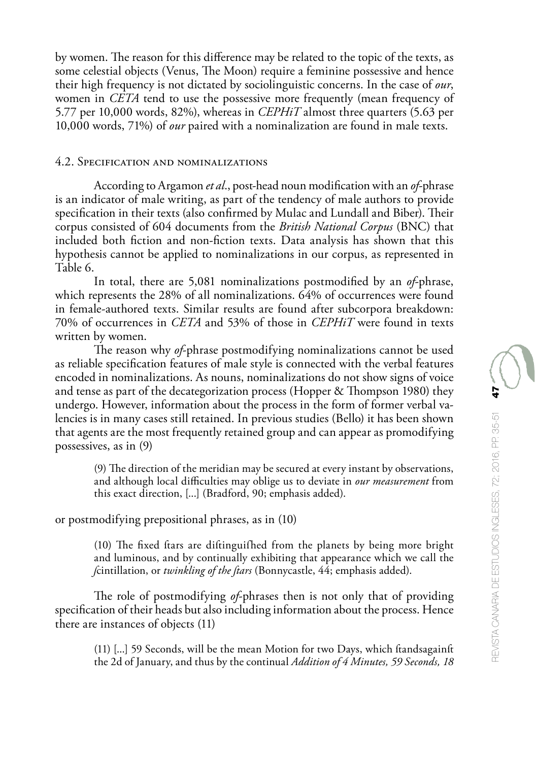by women. The reason for this difference may be related to the topic of the texts, as some celestial objects (Venus, The Moon) require a feminine possessive and hence their high frequency is not dictated by sociolinguistic concerns. In the case of *our*, women in *CETA* tend to use the possessive more frequently (mean frequency of 5.77 per 10,000 words, 82%), whereas in *CEPHiT* almost three quarters (5.63 per 10,000 words, 71%) of *our* paired with a nominalization are found in male texts.

### 4.2. Specification and nominalizations

According to Argamon *et al*., post-head noun modification with an *of*-phrase is an indicator of male writing, as part of the tendency of male authors to provide specification in their texts (also confirmed by Mulac and Lundall and Biber). Their corpus consisted of 604 documents from the *British National Corpus* (BNC) that included both fiction and non-fiction texts. Data analysis has shown that this hypothesis cannot be applied to nominalizations in our corpus, as represented in Table 6.

In total, there are 5,081 nominalizations postmodified by an *of*-phrase, which represents the 28% of all nominalizations. 64% of occurrences were found in female-authored texts. Similar results are found after subcorpora breakdown: 70% of occurrences in *CETA* and 53% of those in *CEPHiT* were found in texts written by women.

The reason why *of*-phrase postmodifying nominalizations cannot be used as reliable specification features of male style is connected with the verbal features encoded in nominalizations. As nouns, nominalizations do not show signs of voice and tense as part of the decategorization process (Hopper & Thompson 1980) they undergo. However, information about the process in the form of former verbal valencies is in many cases still retained. In previous studies (Bello) it has been shown that agents are the most frequently retained group and can appear as promodifying possessives, as in (9)

(9) The direction of the meridian may be secured at every instant by observations, and although local difficulties may oblige us to deviate in *our measurement* from this exact direction, [...] (Bradford, 90; emphasis added).

or postmodifying prepositional phrases, as in (10)

(10) The fixed ftars are diftinguifhed from the planets by being more bright and luminous, and by continually exhibiting that appearance which we call the *f*cintillation, or *twinkling of the ftars* (Bonnycastle, 44; emphasis added).

The role of postmodifying *of*-phrases then is not only that of providing specification of their heads but also including information about the process. Hence there are instances of objects (11)

(11) [...] 59 Seconds, will be the mean Motion for two Days, which ftandsagainft the 2d of January, and thus by the continual *Addition of 4 Minutes, 59 Seconds, 18*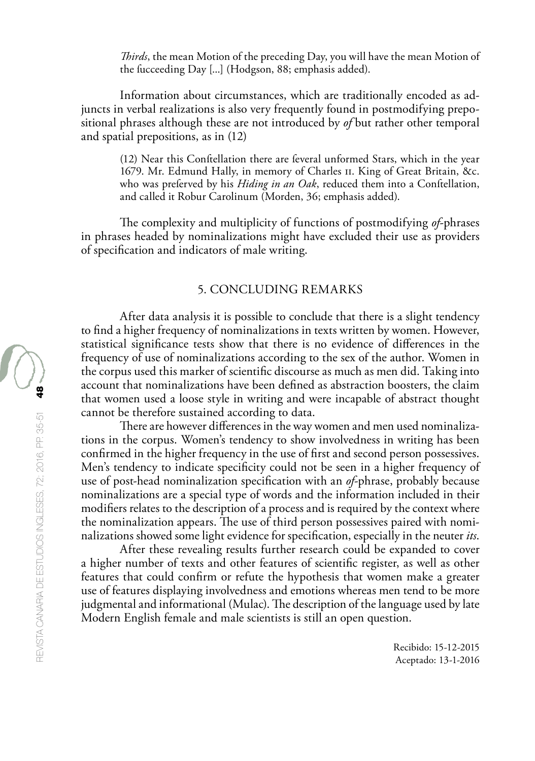*Thirds*, the mean Motion of the preceding Day, you will have the mean Motion of the fucceeding Day [...] (Hodgson, 88; emphasis added).

Information about circumstances, which are traditionally encoded as adjuncts in verbal realizations is also very frequently found in postmodifying prepositional phrases although these are not introduced by *of* but rather other temporal and spatial prepositions, as in (12)

(12) Near this Conftellation there are feveral unformed Stars, which in the year 1679. Mr. Edmund Hally, in memory of Charles II. King of Great Britain, &c. who was preferved by his *Hiding in an Oak*, reduced them into a Conftellation, and called it Robur Carolinum (Morden, 36; emphasis added).

The complexity and multiplicity of functions of postmodifying *of*-phrases in phrases headed by nominalizations might have excluded their use as providers of specification and indicators of male writing.

### 5. CONCLUDING REMARKS

After data analysis it is possible to conclude that there is a slight tendency to find a higher frequency of nominalizations in texts written by women. However, statistical significance tests show that there is no evidence of differences in the frequency of use of nominalizations according to the sex of the author. Women in the corpus used this marker of scientific discourse as much as men did. Taking into account that nominalizations have been defined as abstraction boosters, the claim that women used a loose style in writing and were incapable of abstract thought cannot be therefore sustained according to data.

There are however differences in the way women and men used nominalizations in the corpus. Women's tendency to show involvedness in writing has been confirmed in the higher frequency in the use of first and second person possessives. Men's tendency to indicate specificity could not be seen in a higher frequency of use of post-head nominalization specification with an *of*-phrase, probably because nominalizations are a special type of words and the information included in their modifiers relates to the description of a process and is required by the context where the nominalization appears. The use of third person possessives paired with nominalizations showed some light evidence for specification, especially in the neuter *its*.

After these revealing results further research could be expanded to cover a higher number of texts and other features of scientific register, as well as other features that could confirm or refute the hypothesis that women make a greater use of features displaying involvedness and emotions whereas men tend to be more judgmental and informational (Mulac). The description of the language used by late Modern English female and male scientists is still an open question.

> Recibido: 15-12-2015 Aceptado: 13-1-2016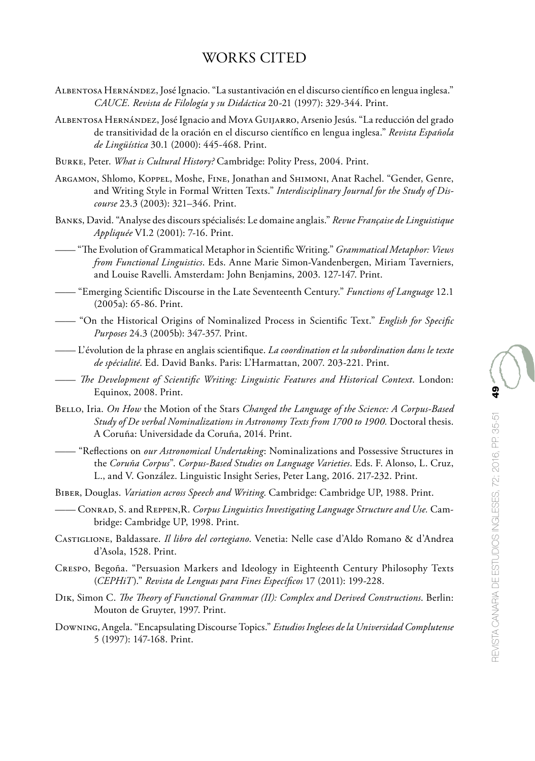# WORKS CITED

- Albentosa Hernández, José Ignacio. "La sustantivación en el discurso científico en lengua inglesa." *CAUCE. Revista de Filología y su Didáctica* 20-21 (1997): 329-344. Print.
- Albentosa Hernández, José Ignacio and Moya Guijarro, Arsenio Jesús. "La reducción del grado de transitividad de la oración en el discurso científico en lengua inglesa." *Revista Española de Lingüística* 30.1 (2000): 445-468. Print.
- Burke, Peter. *What is Cultural History?* Cambridge: Polity Press, 2004. Print.
- Argamon, Shlomo, Koppel, Moshe, Fine, Jonathan and Shimoni, Anat Rachel. "Gender, Genre, and Writing Style in Formal Written Texts." *Interdisciplinary Journal for the Study of Discourse* 23.3 (2003): 321–346. Print.
- Banks, David. "Analyse des discours spécialisés: Le domaine anglais." *Revue Française de Linguistique Appliquée* VI.2 (2001): 7-16. Print.
- —— "The Evolution of Grammatical Metaphor in Scientific Writing." *Grammatical Metaphor: Views from Functional Linguistics*. Eds. Anne Marie Simon-Vandenbergen, Miriam Taverniers, and Louise Ravelli. Amsterdam: John Benjamins, 2003. 127-147. Print.
- —— "Emerging Scientific Discourse in the Late Seventeenth Century." *Functions of Language* 12.1 (2005a): 65-86. Print.
- —— "On the Historical Origins of Nominalized Process in Scientific Text." *English for Specific Purposes* 24.3 (2005b): 347-357. Print.
- —— L'évolution de la phrase en anglais scientifique. *La coordination et la subordination dans le texte de spécialité*. Ed. David Banks. Paris: L'Harmattan, 2007. 203-221. Print.
- —— *The Development of Scientific Writing: Linguistic Features and Historical Context*. London: Equinox, 2008. Print.
- Bello, Iria. *On How* the Motion of the Stars *Changed the Language of the Science: A Corpus-Based*  Study of De verbal Nominalizations in Astronomy Texts from 1700 to 1900. Doctoral thesis. A Coruña: Universidade da Coruña, 2014. Print.
- —— "Reflections on *our Astronomical Undertaking*: Nominalizations and Possessive Structures in the *Coruña Corpus*". *Corpus-Based Studies on Language Varieties*. Eds. F. Alonso, L. Cruz, L., and V. González. Linguistic Insight Series, Peter Lang, 2016. 217-232. Print.
- Biber, Douglas. *Variation across Speech and Writing*. Cambridge: Cambridge UP, 1988. Print.
- —— Conrad, S. and Reppen,R. *Corpus Linguistics Investigating Language Structure and Use.* Cambridge: Cambridge UP, 1998. Print.
- Castiglione, Baldassare. *Il libro del cortegiano*. Venetia: Nelle case d'Aldo Romano & d'Andrea d'Asola, 1528. Print.
- Crespo, Begoña. "Persuasion Markers and Ideology in Eighteenth Century Philosophy Texts (*CEPHiT*)." *Revista de Lenguas para Fines Específicos* 17 (2011): 199-228.
- Dik, Simon C. *The Theory of Functional Grammar (II): Complex and Derived Constructions*. Berlin: Mouton de Gruyter, 1997. Print.
- Downing, Angela. "Encapsulating Discourse Topics." *Estudios Ingleses de la Universidad Complutense* 5 (1997): 147-168. Print.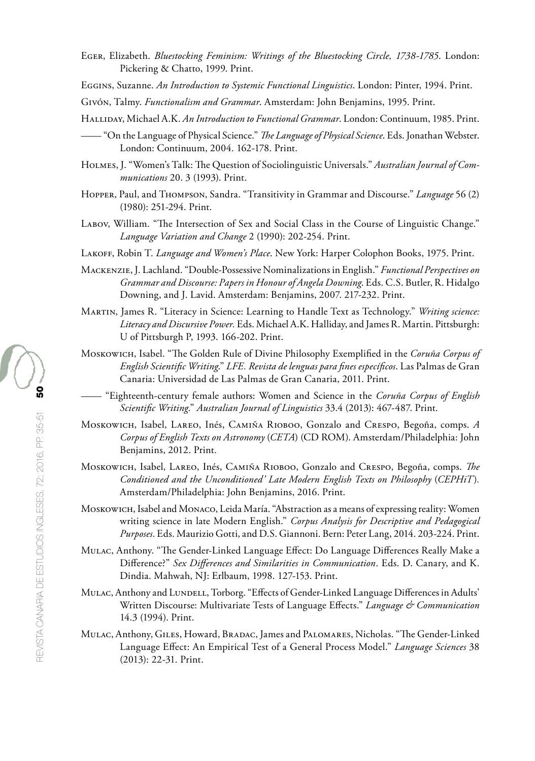- Eger, Elizabeth. *Bluestocking Feminism: Writings of the Bluestocking Circle, 1738-1785*. London: Pickering & Chatto, 1999. Print.
- Eggins, Suzanne. *An Introduction to Systemic Functional Linguistics*. London: Pinter, 1994. Print.
- Givón, Talmy. *Functionalism and Grammar*. Amsterdam: John Benjamins, 1995. Print.
- Halliday, Michael A.K. *An Introduction to Functional Grammar*. London: Continuum, 1985. Print.
- —— "On the Language of Physical Science." *The Language of Physical Science*. Eds. Jonathan Webster. London: Continuum, 2004. 162-178. Print.
- Holmes, J. "Women's Talk: The Question of Sociolinguistic Universals." *Australian Journal of Communications* 20. 3 (1993). Print.
- Hopper, Paul, and Thompson, Sandra. "Transitivity in Grammar and Discourse." *Language* 56 (2) (1980): 251-294. Print.
- Labov, William. "The Intersection of Sex and Social Class in the Course of Linguistic Change." *Language Variation and Change* 2 (1990): 202-254. Print.
- Lakoff, Robin T. *Language and Women's Place*. New York: Harper Colophon Books, 1975. Print.
- Mackenzie, J. Lachland. "Double-Possessive Nominalizations in English." *Functional Perspectives on Grammar and Discourse: Papers in Honour of Angela Downing*. Eds. C.S. Butler, R. Hidalgo Downing, and J. Lavid. Amsterdam: Benjamins, 2007. 217-232. Print.
- Martin, James R. "Literacy in Science: Learning to Handle Text as Technology." *Writing science: Literacy and Discursive Power.* Eds. Michael A.K. Halliday, and James R. Martin. Pittsburgh: U of Pittsburgh P, 1993. 166-202. Print.
- Moskowich, Isabel. "The Golden Rule of Divine Philosophy Exemplified in the *Coruña Corpus of English Scientific Writing*." *LFE. Revista de lenguas para fines específicos*. Las Palmas de Gran Canaria: Universidad de Las Palmas de Gran Canaria, 2011. Print.
	- —— "Eighteenth-century female authors: Women and Science in the *Coruña Corpus of English Scientific Writing*." *Australian Journal of Linguistics* 33.4 (2013): 467-487. Print.
- Moskowich, Isabel, Lareo, Inés, Camiña Rioboo, Gonzalo and Crespo, Begoña, comps. *A Corpus of English Texts on Astronomy* (*CETA*) (CD ROM). Amsterdam/Philadelphia: John Benjamins, 2012. Print.
- Moskowich, Isabel, Lareo, Inés, Camiña Rioboo, Gonzalo and Crespo, Begoña, comps. *The Conditioned and the Unconditioned' Late Modern English Texts on Philosophy* (*CEPHiT*)*.*  Amsterdam/Philadelphia: John Benjamins, 2016. Print.
- Moskowich, Isabel and Monaco, Leida María. "Abstraction as a means of expressing reality: Women writing science in late Modern English." *Corpus Analysis for Descriptive and Pedagogical Purposes*. Eds. Maurizio Gotti, and D.S. Giannoni. Bern: Peter Lang, 2014. 203-224. Print.
- Mulac, Anthony. "The Gender-Linked Language Effect: Do Language Differences Really Make a Difference?" *Sex Differences and Similarities in Communication*. Eds. D. Canary, and K. Dindia. Mahwah, NJ: Erlbaum, 1998. 127-153. Print.
- MULAC, Anthony and LUNDELL, Torborg. "Effects of Gender-Linked Language Differences in Adults' Written Discourse: Multivariate Tests of Language Effects." *Language & Communication* 14.3 (1994). Print.
- Mulac, Anthony, Giles, Howard, Bradac, James and Palomares, Nicholas. "The Gender-Linked Language Effect: An Empirical Test of a General Process Model." *Language Sciences* 38 (2013): 22-31. Print.